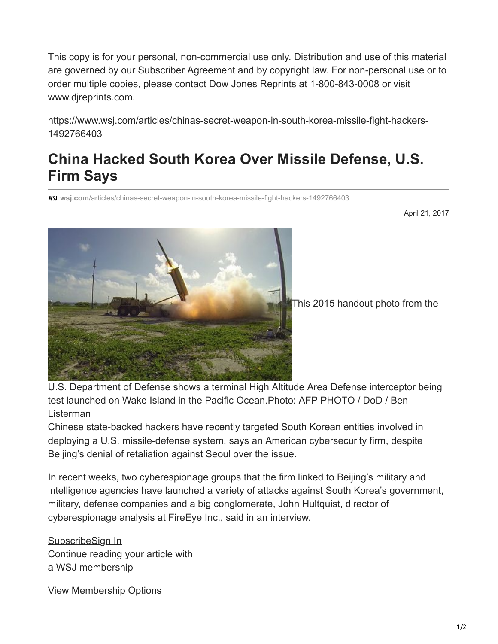This copy is for your personal, non-commercial use only. Distribution and use of this material are governed by our Subscriber Agreement and by copyright law. For non-personal use or to order multiple copies, please contact Dow Jones Reprints at 1-800-843-0008 or visit www.djreprints.com.

https://www.wsj.com/articles/chinas-secret-weapon-in-south-korea-missile-fight-hackers-1492766403

## **China Hacked South Korea Over Missile Defense, U.S. Firm Says**

**wsj.com**[/articles/chinas-secret-weapon-in-south-korea-missile-fight-hackers-1492766403](https://www.wsj.com/articles/chinas-secret-weapon-in-south-korea-missile-fight-hackers-1492766403?emailToken=JRrydPtyYnqTg9EyZsw31FwuZ7JNEOKCXF7LaW/HM1DLsjnUp6e6wLgph560pnmiTAN/5ssf7moyADPQj2p2Gc+YkL1yi0zhIiUM9M6aj1HTYQ==)

April 21, 2017



This 2015 handout photo from the

U.S. Department of Defense shows a terminal High Altitude Area Defense interceptor being test launched on Wake Island in the Pacific Ocean.Photo: AFP PHOTO / DoD / Ben Listerman

Chinese state-backed hackers have recently targeted South Korean entities involved in deploying a U.S. missile-defense system, says an American cybersecurity firm, despite Beijing's denial of retaliation against Seoul over the issue.

In recent weeks, two cyberespionage groups that the firm linked to Beijing's military and intelligence agencies have launched a variety of attacks against South Korea's government, military, defense companies and a big conglomerate, John Hultquist, director of cyberespionage analysis at FireEye Inc., said in an interview.

[Subscribe](https://subscribe.wsj.com/wsjsnippet)[Sign In](https://accounts.wsj.com/login?target=https%3A%2F%2Fwww.wsj.com%2Farticles%2Fchinas-secret-weapon-in-south-korea-missile-fight-hackers-1492766403) Continue reading your article with a WSJ membership

[View Membership Options](https://subscribe.wsj.com/wsjsnippet)